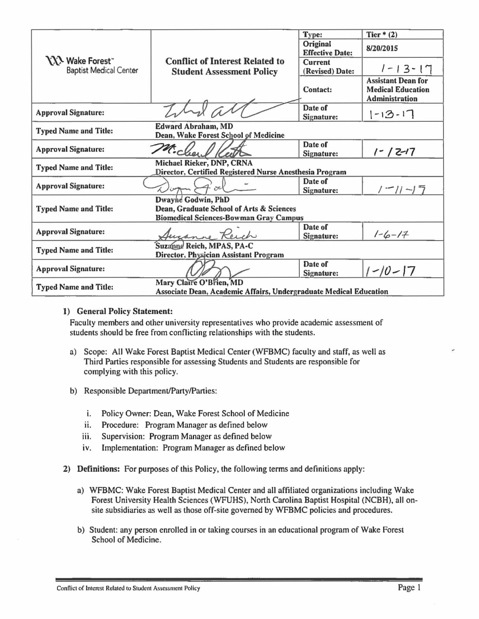|                                                                                                    |                                                                                      | Type:                              | Tier $*$ (2)                                                                   |
|----------------------------------------------------------------------------------------------------|--------------------------------------------------------------------------------------|------------------------------------|--------------------------------------------------------------------------------|
| <b>XX</b> Wake Forest<br><b>Baptist Medical Center</b>                                             |                                                                                      | Original<br><b>Effective Date:</b> | 8/20/2015                                                                      |
|                                                                                                    | <b>Conflict of Interest Related to</b><br><b>Student Assessment Policy</b>           | <b>Current</b><br>(Revised) Date:  | $1 - 13 - 17$                                                                  |
|                                                                                                    |                                                                                      | Contact:                           | <b>Assistant Dean for</b><br><b>Medical Education</b><br><b>Administration</b> |
| <b>Approval Signature:</b>                                                                         |                                                                                      | Date of<br>Signature:              | $1 - 13 - 17$                                                                  |
| <b>Typed Name and Title:</b>                                                                       | <b>Edward Abraham, MD</b><br>Dean, Wake Forest School of Medicine                    |                                    |                                                                                |
| <b>Approval Signature:</b>                                                                         | Michael                                                                              | Date of<br>Signature:              | $1 - 12 - 17$                                                                  |
| <b>Typed Name and Title:</b>                                                                       | Michael Rieker, DNP, CRNA<br>Director, Certified Registered Nurse Anesthesia Program |                                    |                                                                                |
| <b>Approval Signature:</b>                                                                         |                                                                                      | Date of<br>Signature:              | $1 - 11 - 17$                                                                  |
|                                                                                                    | Dwayne Godwin, PhD                                                                   |                                    |                                                                                |
| <b>Typed Name and Title:</b>                                                                       | Dean, Graduate School of Arts & Sciences                                             |                                    |                                                                                |
|                                                                                                    | <b>Biomedical Sciences-Bowman Gray Campus</b>                                        |                                    |                                                                                |
| <b>Approval Signature:</b>                                                                         | August Reich                                                                         | Date of<br>Signature:              | $1 - 6 - 17$                                                                   |
| Suzanne Reich, MPAS, PA-C<br><b>Typed Name and Title:</b><br>Director, Physician Assistant Program |                                                                                      |                                    |                                                                                |
| <b>Approval Signature:</b>                                                                         |                                                                                      | Date of<br>Signature:              | $1 - 10 - 17$                                                                  |
| <b>Typed Name and Title:</b>                                                                       | Mary Claire O'Brien, MD                                                              |                                    |                                                                                |
|                                                                                                    | Associate Dean, Academic Affairs, Undergraduate Medical Education                    |                                    |                                                                                |

#### 1) General Policy Statement:

Faculty members and other university representatives who provide academic assessment of students should be free from conflicting relationships with the students\_

- a) Scope: All Wake Forest Baptist Medical Center (WFBMC) faculty and staff, as well as Third Parties responsible for assessing Students and Students are responsible for complying with this policy\_
- b) Responsible Department/Party/Parties:
	- i. Policy Owner: Dean, Wake Forest School of Medicine
	- ii. Procedure: Program Manager as defined below
	- iii. Supervision: Program Manager as defined below
	- iv. Implementation: Program Manager as defined below
- 2) Definitions: For purposes of this Policy, the following terms and definitions apply:
	- a) WFBMC: Wake Forest Baptist Medical Center and all affiliated organizations including Wake Forest University Health Sciences (WFUHS), North Carolina Baptist Hospital (NCBH), all onsite subsidiaries as well as those off-site governed by WFBMC policies and procedures\_
	- b) Student: any person enrolled in or taking courses in an educational program of Wake Forest School of Medicine.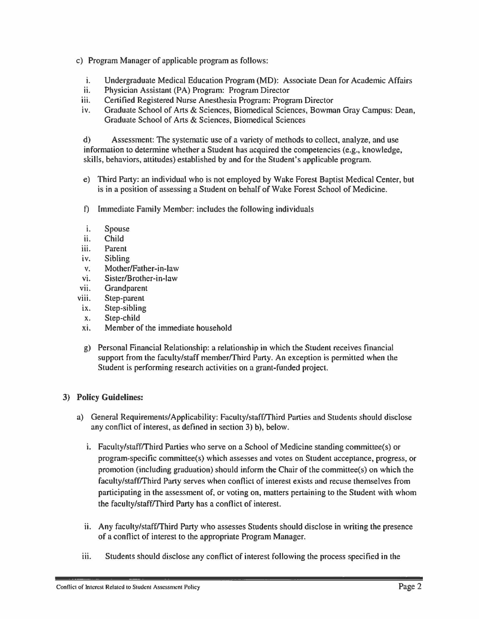- c) Program Manager of applicable program as follows:
	- i. Undergraduate Medical Education Program (MD): Associate Dean for Academic Affairs<br>ii. Physician Assistant (PA) Program: Program Director
	- Physician Assistant (PA) Program: Program Director
	- iii. Certified Registered Nurse Anesthesia Program: Program Director
	- iv. Graduate School of Arts & Sciences, Biomedical Sciences, Bowman Gray Campus: Dean, Graduate School of Arts & Sciences, Biomedical Sciences

d) Assessment: The systematic use of a variety of methods to collect, analyze, and use information to determine whether a Student has acquired the competencies (e.g., knowledge, skills, behaviors, attitudes) established by and for the Student's applicable program.

- e) Third Party: an individual who is not employed by Wake Forest Baptist Medical Center, but is in a position of assessing a Student on behalf of Wake Forest School of Medicine.
- f) Immediate Family Member: includes the following individuals
- i. Spouse
- ii. Child
- iii. Parent
- iv. Sibling
- v. Mother/Father-in-law
- vi. Sister/Brother-in-law
- vii. Grandparent
- viii. Step-parent
- ix. Step-sibling
- x. Step-child
- xi. Member of the immediate household
- g) Personal Financial Relationship: a relationship in which the Student receives financial support from the faculty/staff member/Third Party. An exception is permitted when the Student is performing research activities on a grant-funded project.

# 3) Policy Guidelines:

- a) General Requirements/Applicability: Faculty/staff/Third Parties and Students should disclose any conflict of interest, as defined in section 3) b), below.
	- i. Faculty/staff/Third Parties who serve on a School of Medicine standing committee(s) or program-specific committee(s) which assesses and votes on Student acceptance, progress, or promotion (including graduation) should inform the Chair of the committee(s) on which the faculty/staff/Third Party serves when conflict of interest exists and recuse themselves from participating in the assessment of, or voting on, matters pertaining to the Student with whom the faculty/staff/Third Party has a conflict of interest.
	- II. Any faculty/stafflThird Party who assesses Students should disclose in writing the presence of a conflict of interest to the appropriate Program Manager.
	- iii. Students should disclose any conflict of interest following the process specified in the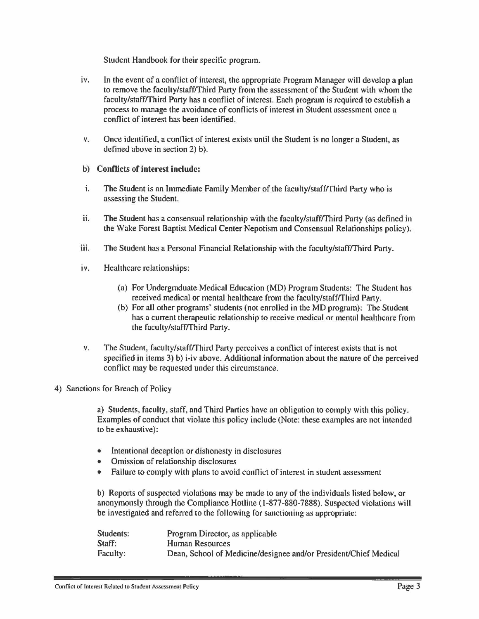Student Handbook for their specific program.

- iv. In the event of a conflict of interest, the appropriate Program Manager will develop a plan to remove the faculty/staffrrhird Party from the assessment of the Student with whom the faculty/staffrrhird Party has a conflict of interest. Each program is required to establish a process to manage the avoidance of conflicts of interest in Student assessment once a conflict of interest has been identified.
- v. Once identified, a conflict of interest exists until the Student is no longer a Student, as defined above in section 2) b).

## b) Conflicts of interest include:

- i. The Student is an Immediate Family Member of the faculty/staffrrhird Party who is assessing the Student.
- ii. The Student has a consensual relationship with the faculty/staffrrhird Party (as defined in the Wake Forest Baptist Medical Center Nepotism and Consensual Relationships policy).
- iii. The Student has a Personal Financial Relationship with the faculty/staffrrhird Party.
- iv. Healthcare relationships:
	- (a) For Undergraduate Medical Education (MD) Program Students: The Student has received medical or mental healthcare from the faculty/staffrrhird Party.
	- (b) For all other programs' students (not enrolled in the MD program): The Student has a current therapeutic relationship to receive medical or mental healthcare from the faculty/staff/Third Party.
- v. The Student, faculty/staffrrhird Party perceives a conflict of interest exists that is not specified in items 3) b) i-iv above. Additional information about the nature of the perceived conflict may be requested under this circumstance.
- 4) Sanctions for Breach of Policy

a) Students, faculty, staff, and Third Parties have an obligation to comply with this policy. Examples of conduct that violate this policy include (Note: these examples are not intended to be exhaustive):

- Intentional deception or dishonesty in disclosures
- Omission of relationship disclosures
- Failure to comply with plans to avoid conflict of interest in student assessment

b) Reports of suspected violations may be made to any of the individuals listed below, or anonymously through the Compliance Hotline (1-877-880-7888). Suspected violations will be investigated and referred to the following for sanctioning as appropriate:

| Students: | Program Director, as applicable                                  |
|-----------|------------------------------------------------------------------|
| Staff:    | Human Resources                                                  |
| Faculty:  | Dean, School of Medicine/designee and/or President/Chief Medical |